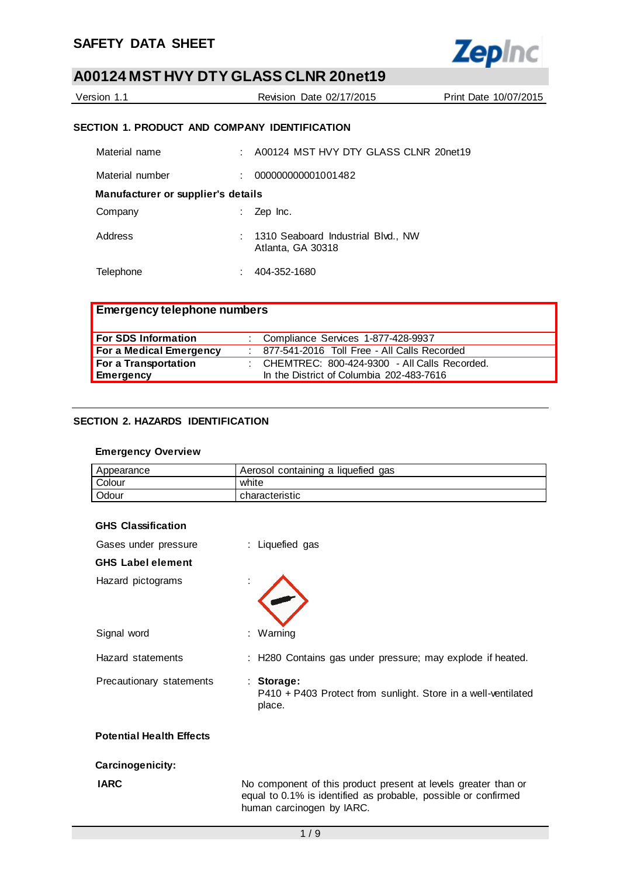

| Version 1.1 | Revision Date 02/17/2015 | Print Date 10/07/2015 |
|-------------|--------------------------|-----------------------|
|             |                          |                       |

## **SECTION 1. PRODUCT AND COMPANY IDENTIFICATION**

| Material name                      |    | : A00124 MST HVY DTY GLASS CLNR 20net19                   |  |  |
|------------------------------------|----|-----------------------------------------------------------|--|--|
| Material number                    |    | 000000000001001482                                        |  |  |
| Manufacturer or supplier's details |    |                                                           |  |  |
| Company                            | ÷. | Zep Inc.                                                  |  |  |
| Address                            |    | : 1310 Seaboard Industrial Blvd., NW<br>Atlanta, GA 30318 |  |  |
| Telephone                          |    | 404-352-1680                                              |  |  |

| <b>Emergency telephone numbers</b> |  |                                                  |  |
|------------------------------------|--|--------------------------------------------------|--|
| <b>For SDS Information</b>         |  | : Compliance Services 1-877-428-9937             |  |
| For a Medical Emergency            |  | : 877-541-2016 Toll Free - All Calls Recorded    |  |
| For a Transportation               |  | : CHEMTREC: $800-424-9300$ - All Calls Recorded. |  |
| Emergency                          |  | In the District of Columbia 202-483-7616         |  |

## **SECTION 2. HAZARDS IDENTIFICATION**

#### **Emergency Overview**

| Appearance | Aerosol containing a liquefied gas |
|------------|------------------------------------|
| Colour     | white                              |
| Odour      | characteristic                     |

| Gases under pressure            | : Liquefied gas                                                                                                                                               |
|---------------------------------|---------------------------------------------------------------------------------------------------------------------------------------------------------------|
| <b>GHS Label element</b>        |                                                                                                                                                               |
| Hazard pictograms               |                                                                                                                                                               |
| Signal word                     | : Warning                                                                                                                                                     |
| Hazard statements               | : H280 Contains gas under pressure; may explode if heated.                                                                                                    |
| Precautionary statements        | $:$ Storage:<br>P410 + P403 Protect from sunlight. Store in a well-ventilated<br>place.                                                                       |
| <b>Potential Health Effects</b> |                                                                                                                                                               |
| Carcinogenicity:                |                                                                                                                                                               |
| <b>IARC</b>                     | No component of this product present at levels greater than or<br>equal to 0.1% is identified as probable, possible or confirmed<br>human carcinogen by IARC. |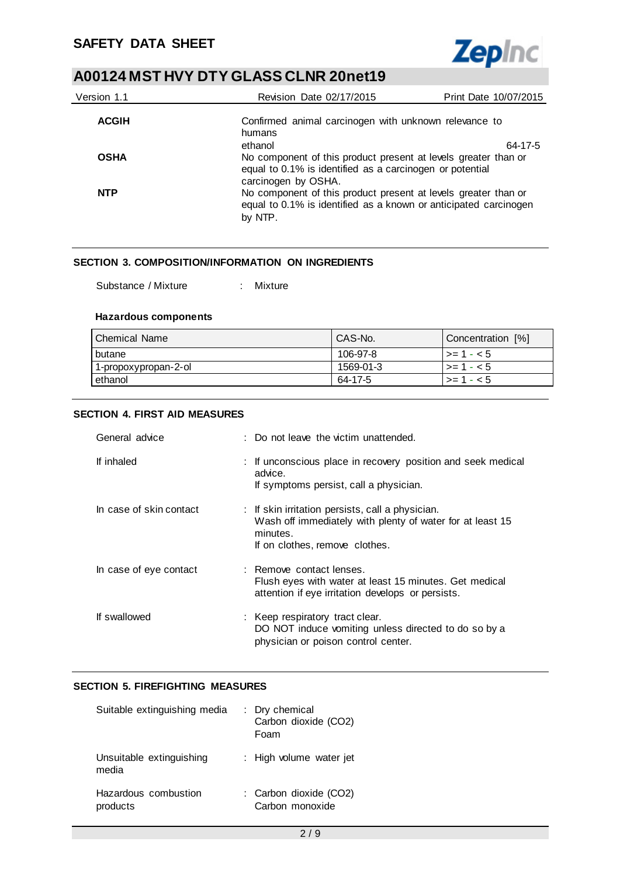

| Version 1.1  | Revision Date 02/17/2015                                                                                                                                             | Print Date 10/07/2015 |
|--------------|----------------------------------------------------------------------------------------------------------------------------------------------------------------------|-----------------------|
| <b>ACGIH</b> | Confirmed animal carcinogen with unknown relevance to<br>humans                                                                                                      |                       |
| <b>OSHA</b>  | ethanol<br>No component of this product present at levels greater than or<br>equal to 0.1% is identified as a carcinogen or potential                                | 64-17-5               |
| <b>NTP</b>   | carcinogen by OSHA.<br>No component of this product present at levels greater than or<br>equal to 0.1% is identified as a known or anticipated carcinogen<br>by NTP. |                       |

#### **SECTION 3. COMPOSITION/INFORMATION ON INGREDIENTS**

| Substance / Mixture |  | Mixture |
|---------------------|--|---------|
|---------------------|--|---------|

#### **Hazardous components**

| l Chemical Name      | CAS-No.   | Concentration [%]  |
|----------------------|-----------|--------------------|
| butane               | 106-97-8  | l >= 1 - < 5       |
| 1-propoxypropan-2-ol | 1569-01-3 | $\ge$ = 1 - < 5    |
| l ethanol            | 64-17-5   | $\vert$ >= 1 - < 5 |

#### **SECTION 4. FIRST AID MEASURES**

| General advice          | : Do not leave the victim unattended.                                                                                                                       |
|-------------------------|-------------------------------------------------------------------------------------------------------------------------------------------------------------|
| If inhaled              | : If unconscious place in recovery position and seek medical<br>advice.<br>If symptoms persist, call a physician.                                           |
| In case of skin contact | : If skin irritation persists, call a physician.<br>Wash off immediately with plenty of water for at least 15<br>minutes.<br>If on clothes, remove clothes. |
| In case of eye contact  | : Remove contact lenses.<br>Flush eyes with water at least 15 minutes. Get medical<br>attention if eye irritation develops or persists.                     |
| If swallowed            | : Keep respiratory tract clear.<br>DO NOT induce vomiting unless directed to do so by a<br>physician or poison control center.                              |

#### **SECTION 5. FIREFIGHTING MEASURES**

| Suitable extinguishing media      | : Dry chemical<br>Carbon dioxide (CO2)<br>Foam |
|-----------------------------------|------------------------------------------------|
| Unsuitable extinguishing<br>media | : High volume water jet                        |
| Hazardous combustion<br>products  | : Carbon dioxide (CO2)<br>Carbon monoxide      |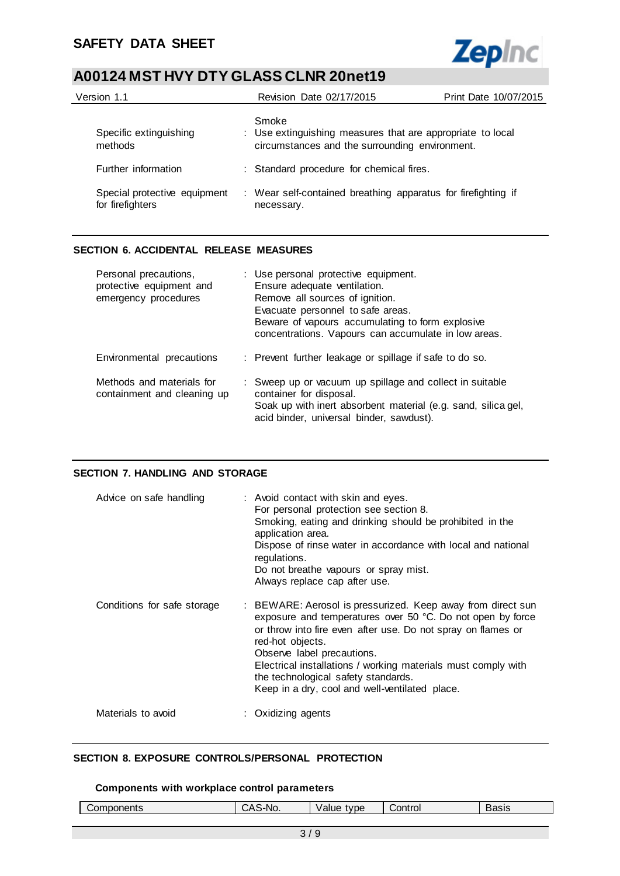

| Version 1.1                                      | Revision Date 02/17/2015                                                                                              | Print Date 10/07/2015 |
|--------------------------------------------------|-----------------------------------------------------------------------------------------------------------------------|-----------------------|
| Specific extinguishing<br>methods                | Smoke<br>: Use extinguishing measures that are appropriate to local<br>circumstances and the surrounding environment. |                       |
| Further information                              | : Standard procedure for chemical fires.                                                                              |                       |
| Special protective equipment<br>for firefighters | : Wear self-contained breathing apparatus for firefighting if<br>necessary.                                           |                       |

## **SECTION 6. ACCIDENTAL RELEASE MEASURES**

| Personal precautions,<br>protective equipment and<br>emergency procedures | : Use personal protective equipment.<br>Ensure adequate ventilation.<br>Remove all sources of ignition.<br>Evacuate personnel to safe areas.<br>Beware of vapours accumulating to form explosive<br>concentrations. Vapours can accumulate in low areas. |
|---------------------------------------------------------------------------|----------------------------------------------------------------------------------------------------------------------------------------------------------------------------------------------------------------------------------------------------------|
| Environmental precautions                                                 | : Prevent further leakage or spillage if safe to do so.                                                                                                                                                                                                  |
| Methods and materials for<br>containment and cleaning up                  | : Sweep up or vacuum up spillage and collect in suitable<br>container for disposal.<br>Soak up with inert absorbent material (e.g. sand, silica gel,<br>acid binder, universal binder, sawdust).                                                         |

## **SECTION 7. HANDLING AND STORAGE**

| Advice on safe handling     | : Avoid contact with skin and eyes.<br>For personal protection see section 8.<br>Smoking, eating and drinking should be prohibited in the<br>application area.<br>Dispose of rinse water in accordance with local and national<br>regulations.<br>Do not breathe vapours or spray mist.<br>Always replace cap after use.                                                                              |
|-----------------------------|-------------------------------------------------------------------------------------------------------------------------------------------------------------------------------------------------------------------------------------------------------------------------------------------------------------------------------------------------------------------------------------------------------|
| Conditions for safe storage | : BEWARE: Aerosol is pressurized. Keep away from direct sun<br>exposure and temperatures over 50 °C. Do not open by force<br>or throw into fire even after use. Do not spray on flames or<br>red-hot objects.<br>Observe label precautions.<br>Electrical installations / working materials must comply with<br>the technological safety standards.<br>Keep in a dry, cool and well-ventilated place. |
| Materials to avoid          | : Oxidizing agents                                                                                                                                                                                                                                                                                                                                                                                    |

## **SECTION 8. EXPOSURE CONTROLS/PERSONAL PROTECTION**

#### **Components with workplace control parameters**

| ------<br>.om<br>™ents∴ | $\mathbf{r}$<br>'-NG | type<br>vallit<br>. | `ontrol | או סבי<br>בוכסי |
|-------------------------|----------------------|---------------------|---------|-----------------|
|                         |                      |                     |         |                 |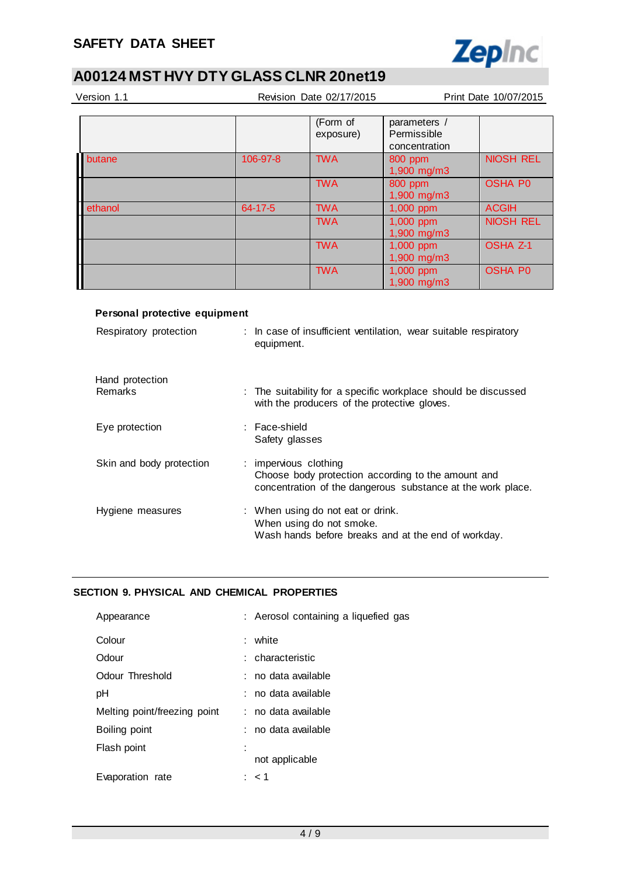

| Version 1.1 |          | Revision Date 02/17/2015 |                                              | Print Date 10/07/2015 |  |
|-------------|----------|--------------------------|----------------------------------------------|-----------------------|--|
|             |          |                          |                                              |                       |  |
|             |          | (Form of<br>exposure)    | parameters /<br>Permissible<br>concentration |                       |  |
| butane      | 106-97-8 | <b>TWA</b>               | 800 ppm<br>1,900 mg/m3                       | <b>NIOSH REL</b>      |  |
|             |          | <b>TWA</b>               | 800 ppm<br>$1,900$ mg/m $3$                  | <b>OSHA P0</b>        |  |
| ethanol     | 64-17-5  | <b>TWA</b>               | 1,000 ppm                                    | <b>ACGIH</b>          |  |
|             |          | <b>TWA</b>               | 1,000 ppm<br>1,900 mg/m3                     | <b>NIOSH REL</b>      |  |
|             |          | <b>TWA</b>               | 1,000 ppm<br>1,900 mg/m3                     | <b>OSHA Z-1</b>       |  |
|             |          | <b>TWA</b>               | 1,000 ppm<br>1,900 mg/m3                     | <b>OSHA P0</b>        |  |

## **Personal protective equipment**

| Respiratory protection            | : In case of insufficient ventilation, wear suitable respiratory<br>equipment.                                                             |
|-----------------------------------|--------------------------------------------------------------------------------------------------------------------------------------------|
| Hand protection<br><b>Remarks</b> | : The suitability for a specific workplace should be discussed<br>with the producers of the protective gloves.                             |
| Eye protection                    | : Face-shield<br>Safety glasses                                                                                                            |
| Skin and body protection          | : impervious clothing<br>Choose body protection according to the amount and<br>concentration of the dangerous substance at the work place. |
| Hygiene measures                  | : When using do not eat or drink.<br>When using do not smoke.<br>Wash hands before breaks and at the end of workday.                       |

## **SECTION 9. PHYSICAL AND CHEMICAL PROPERTIES**

| : Aerosol containing a liquefied gas |
|--------------------------------------|
| white                                |
| : characteristic                     |
| : no data available                  |
| : no data available                  |
| : no data available                  |
| : no data available                  |
| not applicable                       |
| : < 1                                |
|                                      |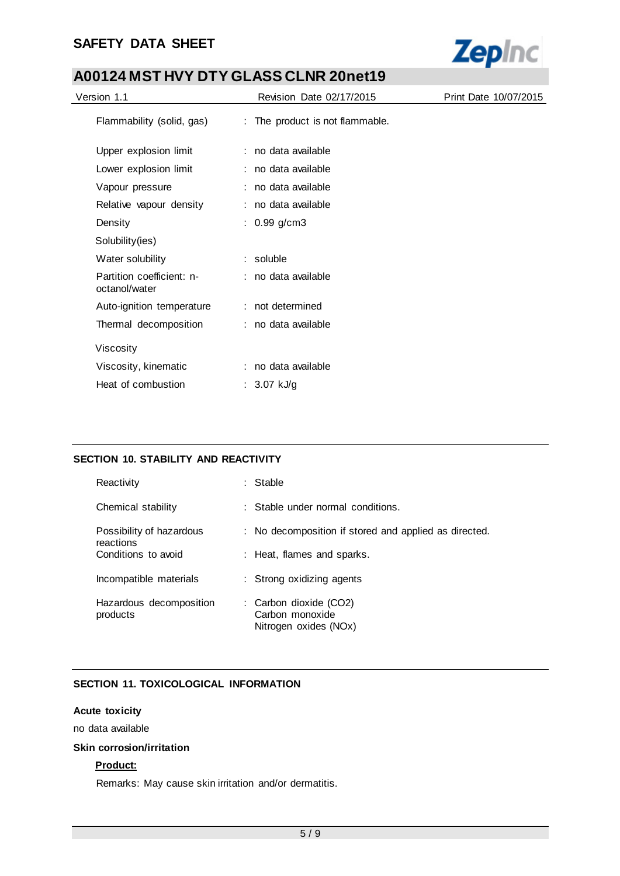## **SAFETY DATA SHEET**



## **A00124 MST HVY DTY GLASS CLNR 20net19**

| Version 1.1                                | Revision Date 02/17/2015        | Print Date 10/07/2015 |
|--------------------------------------------|---------------------------------|-----------------------|
| Flammability (solid, gas)                  | : The product is not flammable. |                       |
| Upper explosion limit                      | : no data available             |                       |
| Lower explosion limit                      | : no data available             |                       |
| Vapour pressure                            | : no data available             |                       |
| Relative vapour density                    | : no data available             |                       |
| Density                                    | $: 0.99$ g/cm3                  |                       |
| Solubility(ies)                            |                                 |                       |
| Water solubility                           | $:$ soluble                     |                       |
| Partition coefficient: n-<br>octanol/water | : no data available             |                       |
| Auto-ignition temperature                  | : not determined                |                       |
| Thermal decomposition                      | : no data available             |                       |
| Viscosity                                  |                                 |                       |
| Viscosity, kinematic                       | : no data available             |                       |
| Heat of combustion                         | : 3.07 kJ/g                     |                       |

## **SECTION 10. STABILITY AND REACTIVITY**

| Reactivity                            | Stable                                                             |
|---------------------------------------|--------------------------------------------------------------------|
| Chemical stability                    | : Stable under normal conditions.                                  |
| Possibility of hazardous<br>reactions | : No decomposition if stored and applied as directed.              |
| Conditions to avoid                   | : Heat, flames and sparks.                                         |
| Incompatible materials                | : Strong oxidizing agents                                          |
| Hazardous decomposition<br>products   | : Carbon dioxide (CO2)<br>Carbon monoxide<br>Nitrogen oxides (NOx) |

## **SECTION 11. TOXICOLOGICAL INFORMATION**

## **Acute toxicity**

no data available

#### **Skin corrosion/irritation**

## **Product:**

Remarks: May cause skin irritation and/or dermatitis.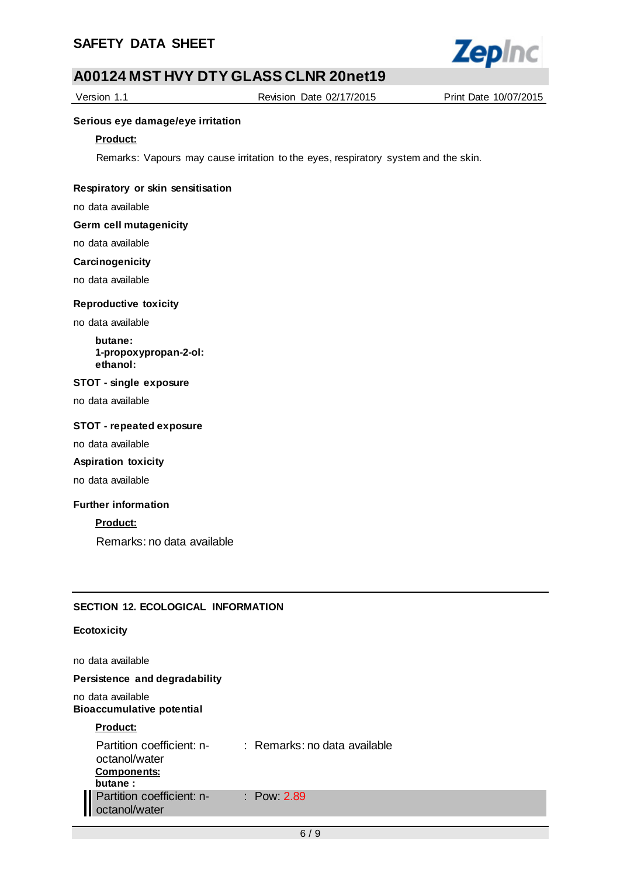

Version 1.1 Revision Date 02/17/2015 Print Date 10/07/2015

### **Serious eye damage/eye irritation**

#### **Product:**

Remarks: Vapours may cause irritation to the eyes, respiratory system and the skin.

#### **Respiratory or skin sensitisation**

no data available

#### **Germ cell mutagenicity**

no data available

#### **Carcinogenicity**

no data available

#### **Reproductive toxicity**

no data available

**butane: 1-propoxypropan-2-ol: ethanol:**

#### **STOT - single exposure**

no data available

#### **STOT - repeated exposure**

no data available

## **Aspiration toxicity**

no data available

#### **Further information**

**Product:**

Remarks: no data available

## **SECTION 12. ECOLOGICAL INFORMATION**

#### **Ecotoxicity**

no data available

## **Persistence and degradability**

no data available **Bioaccumulative potential**

#### **Product:**

| Partition coefficient: n-<br>octanol/water<br><b>Components:</b><br>butane: | : Remarks: no data available |
|-----------------------------------------------------------------------------|------------------------------|
| Partition coefficient: n-<br>octanol/water                                  | $\therefore$ Pow 2.89        |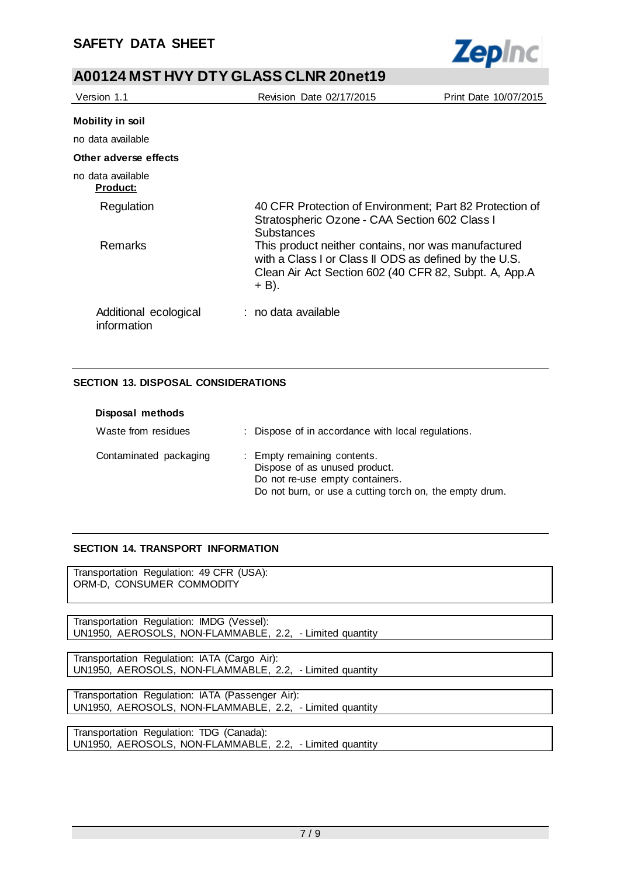

| Version 1.1                          | Revision Date 02/17/2015                                                                                                                                                         | Print Date 10/07/2015 |
|--------------------------------------|----------------------------------------------------------------------------------------------------------------------------------------------------------------------------------|-----------------------|
| Mobility in soil                     |                                                                                                                                                                                  |                       |
| no data available                    |                                                                                                                                                                                  |                       |
| Other adverse effects                |                                                                                                                                                                                  |                       |
| no data available<br><b>Product:</b> |                                                                                                                                                                                  |                       |
| Regulation                           | 40 CFR Protection of Environment; Part 82 Protection of<br>Stratospheric Ozone - CAA Section 602 Class I<br><b>Substances</b>                                                    |                       |
| <b>Remarks</b>                       | This product neither contains, nor was manufactured<br>with a Class I or Class II ODS as defined by the U.S.<br>Clean Air Act Section 602 (40 CFR 82, Subpt. A, App.A<br>$+$ B). |                       |
| Additional ecological<br>information | : no data available                                                                                                                                                              |                       |

## **SECTION 13. DISPOSAL CONSIDERATIONS**

| Disposal methods       |                                                                                                                                                            |
|------------------------|------------------------------------------------------------------------------------------------------------------------------------------------------------|
| Waste from residues    | : Dispose of in accordance with local regulations.                                                                                                         |
| Contaminated packaging | : Empty remaining contents.<br>Dispose of as unused product.<br>Do not re-use empty containers.<br>Do not burn, or use a cutting torch on, the empty drum. |

## **SECTION 14. TRANSPORT INFORMATION**

Transportation Regulation: 49 CFR (USA): ORM-D, CONSUMER COMMODITY

Transportation Regulation: IMDG (Vessel): UN1950, AEROSOLS, NON-FLAMMABLE, 2.2, - Limited quantity

Transportation Regulation: IATA (Cargo Air): UN1950, AEROSOLS, NON-FLAMMABLE, 2.2, - Limited quantity

Transportation Regulation: IATA (Passenger Air): UN1950, AEROSOLS, NON-FLAMMABLE, 2.2, - Limited quantity

Transportation Regulation: TDG (Canada): UN1950, AEROSOLS, NON-FLAMMABLE, 2.2, - Limited quantity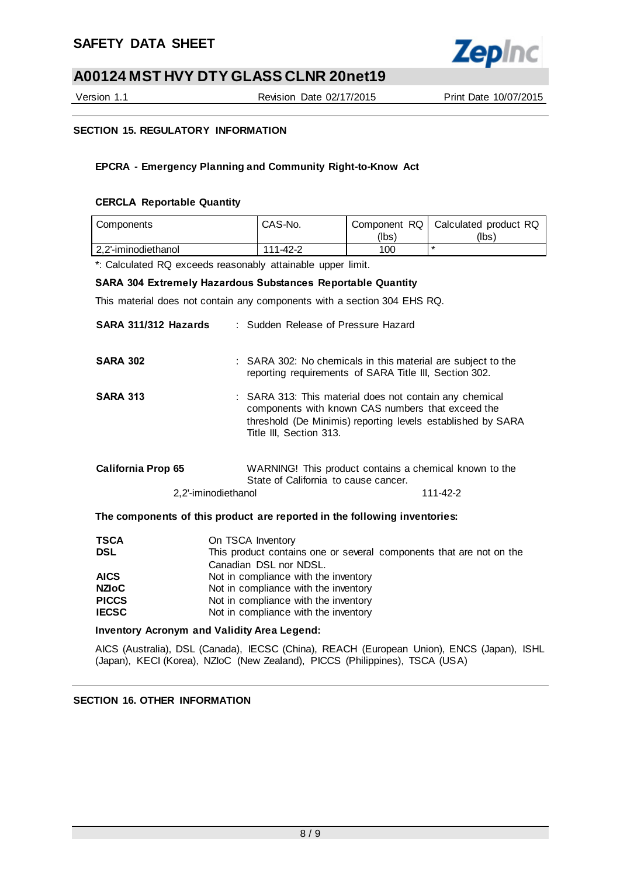

Version 1.1 Revision Date 02/17/2015 Print Date 10/07/2015

## **SECTION 15. REGULATORY INFORMATION**

## **EPCRA - Emergency Planning and Community Right-to-Know Act**

## **CERCLA Reportable Quantity**

| Components          | CAS-No.  |       | Component RQ   Calculated product RQ |
|---------------------|----------|-------|--------------------------------------|
|                     |          | (Ibs` | (Ibs)                                |
| 2.2'-iminodiethanol | 111-42-2 | 100   |                                      |

\*: Calculated RQ exceeds reasonably attainable upper limit.

#### **SARA 304 Extremely Hazardous Substances Reportable Quantity**

This material does not contain any components with a section 304 EHS RQ.

| SARA 311/312 Hazards      | : Sudden Release of Pressure Hazard                                                                                                                                                                    |
|---------------------------|--------------------------------------------------------------------------------------------------------------------------------------------------------------------------------------------------------|
| <b>SARA 302</b>           | : SARA 302: No chemicals in this material are subject to the<br>reporting requirements of SARA Title III, Section 302.                                                                                 |
| <b>SARA 313</b>           | : SARA 313: This material does not contain any chemical<br>components with known CAS numbers that exceed the<br>threshold (De Minimis) reporting levels established by SARA<br>Title III, Section 313. |
| <b>California Prop 65</b> | WARNING! This product contains a chemical known to the<br>State of California to cause cancer.                                                                                                         |
| 2.2'-iminodiethanol       | 111-42-2                                                                                                                                                                                               |
|                           | The componente of this product are reported in the following inventories.                                                                                                                              |

#### **The components of this product are reported in the following inventories:**

| <b>TSCA</b>  | On TSCA Inventory                                                   |
|--------------|---------------------------------------------------------------------|
| <b>DSL</b>   | This product contains one or several components that are not on the |
|              | Canadian DSL nor NDSL.                                              |
| <b>AICS</b>  | Not in compliance with the inventory                                |
| <b>NZIoC</b> | Not in compliance with the inventory                                |
| <b>PICCS</b> | Not in compliance with the inventory                                |
| <b>IECSC</b> | Not in compliance with the inventory                                |

#### **Inventory Acronym and Validity Area Legend:**

AICS (Australia), DSL (Canada), IECSC (China), REACH (European Union), ENCS (Japan), ISHL (Japan), KECI (Korea), NZIoC (New Zealand), PICCS (Philippines), TSCA (USA)

## **SECTION 16. OTHER INFORMATION**